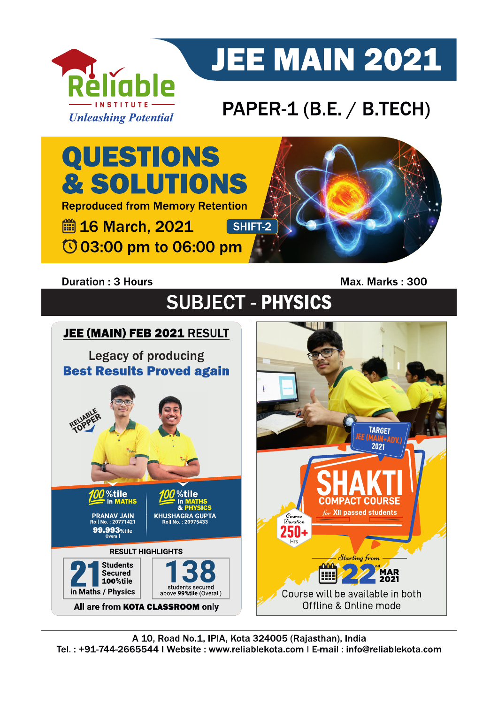

# **JEE MAIN 2021**

## PAPER-1 (B.E. / B.TECH)

QUESTIONS **& SOLUTIONS Reproduced from Memory Retention ■ 16 March, 2021** SHIFT-2 © 03:00 pm to 06:00 pm

## **Duration: 3 Hours**

Max. Marks: 300

## **SUBJECT - PHYSICS**

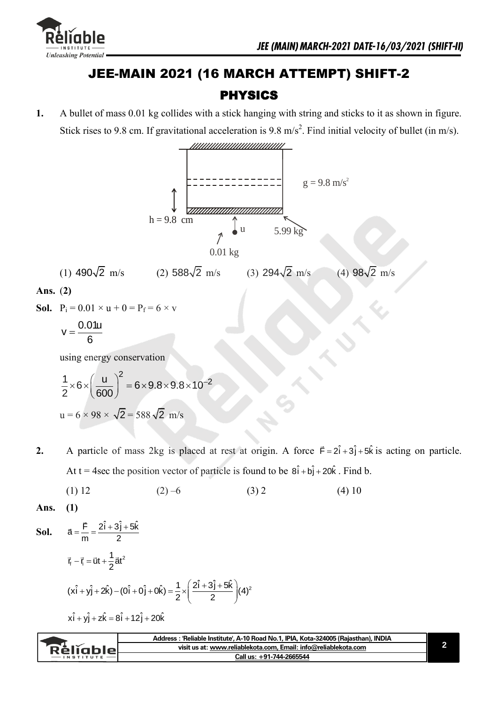

98 $\sqrt{2}$  m/s

## JEE-MAIN 2021 (16 MARCH ATTEMPT) SHIFT-2 PHYSICS

**1.** A bullet of mass 0.01 kg collides with a stick hanging with string and sticks to it as shown in figure. Stick rises to 9.8 cm. If gravitational acceleration is 9.8 m/s<sup>2</sup>. Find initial velocity of bullet (in m/s).



 $294\sqrt{2}$  m/s (4)

- **Ans.** (**2)**
- **Sol.**  $P_i = 0.01 \times u + 0 = P_f = 6 \times v$

$$
v=\frac{0.01u}{6}
$$

using energy conservation

$$
\frac{1}{2} \times 6 \times \left(\frac{u}{600}\right)^2 = 6 \times 9.8 \times 9.8 \times 10^{-2}
$$
  
u = 6 × 98 ×  $\sqrt{2}$  = 588  $\sqrt{2}$  m/s

(1)  $490\sqrt{2}$  m/s (2)  $588\sqrt{2}$  m/s (3)

- **2.** A particle of mass 2kg is placed at rest at origin. A force  $\vec{F} = 2\hat{i} + 3\hat{j} + 5\hat{k}$  is acting on particle. At t = 4sec the position vector of particle is found to be  $8\hat{i} + b\hat{j} + 20\hat{k}$ . Find b.
- (1) 12 (2) –6 (3) 2 (4) 10
- **Ans. (1)**

**Sol.** 
$$
\vec{a} = \frac{\vec{F}}{m} = \frac{2\hat{i} + 3\hat{j} + 5\hat{k}}{2}
$$

$$
\vec{r}_f - \vec{r}_i = \vec{u}t + \frac{1}{2}\vec{a}t^2
$$

$$
(\vec{x} \cdot \hat{i} + \vec{y} \cdot \hat{j} + 2\hat{k}) - (\vec{0} \cdot \hat{i} + \vec{0} \cdot \hat{j} + \vec{0} \cdot \hat{k}) = \frac{1}{2} \times \left(\frac{2\hat{i} + 3\hat{j} + 5\hat{k}}{2}\right)(4)^2
$$

 $x\hat{i} + y\hat{j} + z\hat{k} = 8\hat{i} + 12\hat{j} + 20\hat{k}$ 

| visit us at: www.reliablekota.com. Email: info@reliablekota.com<br><u>eliable velid</u> |  |
|-----------------------------------------------------------------------------------------|--|
|                                                                                         |  |
| Call us: +91-744-2665544<br><b>INSTITUTE</b>                                            |  |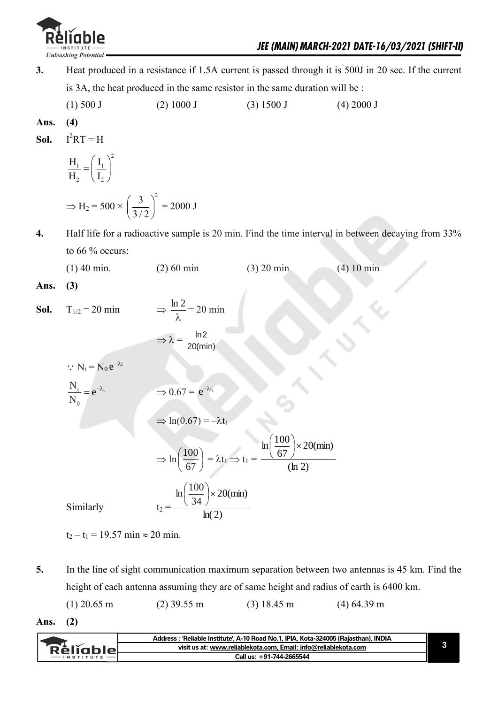

- **3.** Heat produced in a resistance if 1.5A current is passed through it is 500J in 20 sec. If the current is 3A, the heat produced in the same resistor in the same duration will be :
	- (1) 500 J (2) 1000 J (3) 1500 J (4) 2000 J

Ans. 
$$
(4)
$$

**Sol.** 
$$
I^2RT = H
$$

$$
\frac{H_1}{H_2} = \left(\frac{I_1}{I_2}\right)^2
$$
\n
$$
\Rightarrow H_1 = 500 \times \left(\frac{3}{2}\right)^2
$$

$$
\Rightarrow H_2 = 500 \times \left(\frac{3}{3/2}\right)^2 = 2000 \text{ J}
$$

- **4.** Half life for a radioactive sample is 20 min. Find the time interval in between decaying from 33% to 66 % occurs:
	- (1) 40 min. (2) 60 min (3) 20 min (4) 10 min

**Ans. (3)** 

**Sol.**  $T_{1/2} = 20 \text{ min}$ λ  $\frac{\ln 2}{2} = 20$  min

t

$$
\Rightarrow \lambda = \frac{\ln 2}{20(\text{min})}
$$

 $\Rightarrow$  0.67 =  $e^{-\lambda t_1}$ 

$$
\therefore N_t = N_0 e^{-\lambda}
$$

$$
\frac{N_{\rm t}}{N_{\rm 0}}\!=\!e^{-\lambda_{\rm l}}
$$

$$
\mathbf{N}_0
$$
\n
$$
\Rightarrow \ln(0.67) = -\lambda t_1
$$

$$
\Rightarrow \ln\left(\frac{100}{67}\right) = \lambda t_1 \Rightarrow t_1 = \frac{\ln\left(\frac{100}{67}\right) \times 20 \text{(min)}}{\text{(ln 2)}}
$$

$$
\ln\left(\frac{100}{24}\right) \times 20 \text{(min)}
$$

20(min)

ln( 2)

J

34

 $\setminus$ 

Similarly

 $t_2 - t_1 = 19.57$  min  $\approx 20$  min.

**5.** In the line of sight communication maximum separation between two antennas is 45 km. Find the height of each antenna assuming they are of same height and radius of earth is 6400 km.

(1) 20.65 m (2) 39.55 m (3) 18.45 m (4) 64.39 m

**Ans. (2)** 

|                  | Address: 'Reliable Institute', A-10 Road No.1, IPIA, Kota-324005 (Rajasthan), INDIA |  |
|------------------|-------------------------------------------------------------------------------------|--|
| <b>RèlĭableL</b> | visit us at: www.reliablekota.com. Email: info@reliablekota.com                     |  |
|                  | Call us: +91-744-2665544                                                            |  |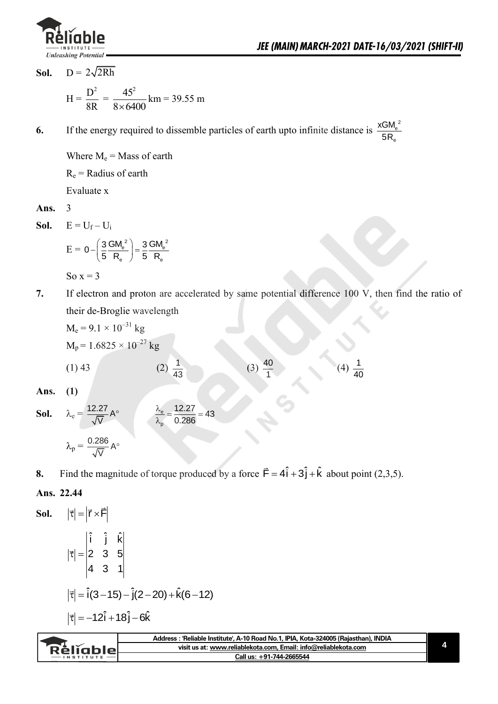

e

xGM 5R

**Sol.**  $D = 2\sqrt{2Rh}$ 

$$
H = \frac{D^2}{8R} = \frac{45^2}{8 \times 6400} \text{ km} = 39.55 \text{ m}
$$

**6.** If the energy required to dissemble particles of earth upto infinite distance is  $\frac{XGM_e^2}{5R}$ 

Where  $M_e$  = Mass of earth  $R_e$  = Radius of earth

Evaluate x

**Ans.** 3

Sol.  $E = U_f - U_i$ 

$$
E = 0 - \left(\frac{3}{5} \frac{GM_e^2}{R_e}\right) = \frac{3}{5} \frac{GM_e^2}{R_e}
$$
  
So x = 3

**7.** If electron and proton are accelerated by same potential difference 100 V, then find the ratio of their de-Broglie wavelength

$$
M_e = 9.1 \times 10^{-31} \text{ kg}
$$
  
\n
$$
M_p = 1.6825 \times 10^{-27} \text{ kg}
$$
  
\n(1) 43  
\n(2)  $\frac{1}{43}$   
\n(3)  $\frac{40}{1}$   
\n(4)  $\frac{1}{40}$   
\nAns. (1)

Ans.

**Sol.** 
$$
\lambda_e = \frac{12.27}{\sqrt{V}} A^\circ
$$

$$
\frac{\lambda_e}{\lambda_p} = \frac{12.27}{0.286} = 43
$$

$$
\lambda_p = \frac{0.286}{\sqrt{V}} A^\circ
$$

**8.** Find the magnitude of torque produced by a force  $\vec{F} = 4\hat{i} + 3\hat{j} + \hat{k}$  about point (2,3,5).

### **Ans. 22.44**

Sol.

\n
$$
|\vec{\tau}| = |\vec{r} \times \vec{F}|
$$
\n
$$
|\vec{\tau}| = \begin{vmatrix} \hat{i} & \hat{j} & \hat{k} \\ 2 & 3 & 5 \\ 4 & 3 & 1 \end{vmatrix}
$$
\n
$$
|\vec{\tau}| = \hat{i}(3 - 15) - \hat{j}(2 - 20) + \hat{k}(6 - 12)
$$
\n
$$
|\vec{\tau}| = -12\hat{i} + 18\hat{j} - 6\hat{k}
$$

|                   | Address: 'Reliable Institute', A-10 Road No.1, IPIA, Kota-324005 (Rajasthan), INDIA |  |
|-------------------|-------------------------------------------------------------------------------------|--|
| <b>Réliable</b> L | visit us at: www.reliablekota.com, Email: info@reliablekota.com                     |  |
| $-$ INSTITUTE $-$ | Call us: +91-744-2665544                                                            |  |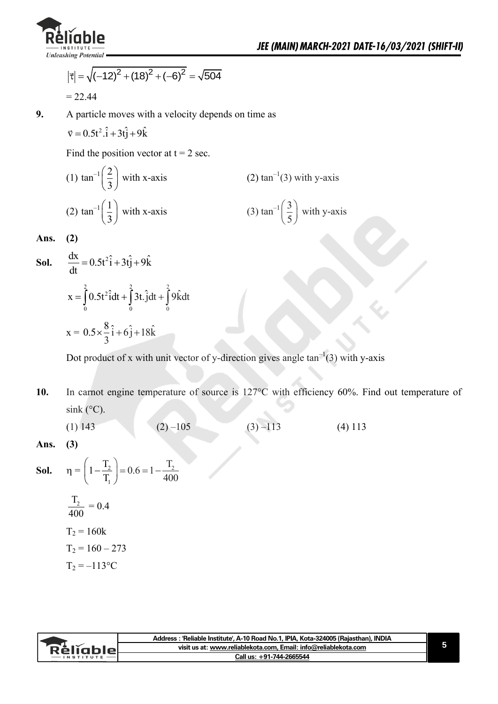

$$
|\vec{\tau}| = \sqrt{(-12)^2 + (18)^2 + (-6)^2} = \sqrt{504}
$$
  
= 22.44

**9.** A particle moves with a velocity depends on time as

 $\vec{v} = 0.5t^2 \cdot \hat{i} + 3t\hat{j} + 9\hat{k}$ 

Find the position vector at  $t = 2$  sec.

(1) 
$$
\tan^{-1}\left(\frac{2}{3}\right)
$$
 with x-axis  
\n(2)  $\tan^{-1}(3)$  with y-axis  
\n(3)  $\tan^{-1}\left(\frac{3}{5}\right)$  with y-axis

**Ans. (2)** 

**Sol.** 
$$
\frac{dx}{dt} = 0.5t^2\hat{i} + 3t\hat{j} + 9\hat{k}
$$

$$
x = \int_0^2 0.5t^2 \hat{i}dt + \int_0^2 3t \cdot \hat{j}dt + \int_0^2 9\hat{k}dt
$$

$$
x = 0.5 \times \frac{8}{3}\hat{i} + 6\hat{j} + 18\hat{k}
$$

Dot product of x with unit vector of y-direction gives angle  $tan^{-1}(3)$  with y-axis

10. In carnot engine temperature of source is 127°C with efficiency 60%. Find out temperature of  $\sin k$  (°C).

(1) 143 (2) –105 (3) –113 (4) 113

**Ans. (3)** 

**Sol.** 
$$
\eta = \left(1 - \frac{T_2}{T_1}\right) = 0.6 = 1 - \frac{T_2}{400}
$$
  
 $\frac{T_2}{400} = 0.4$   
 $T_2 = 160k$   
 $T_2 = 160 - 273$   
 $T_2 = -113 \text{°C}$ 

| visit us at: www.reliablekota.com, Email: info@reliablekota.com<br>`RèlĭableL | Address: 'Reliable Institute', A-10 Road No.1, IPIA, Kota-324005 (Rajasthan), INDIA |  |
|-------------------------------------------------------------------------------|-------------------------------------------------------------------------------------|--|
|                                                                               |                                                                                     |  |
| Call us: +91-744-2665544<br>$-$ INSTITUTE                                     |                                                                                     |  |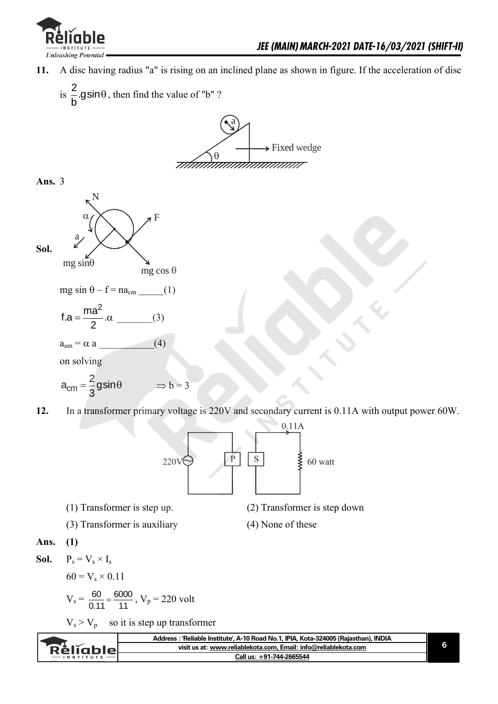

**Sol.**

- **11.** A disc having radius "a" is rising on an inclined plane as shown in figure. If the acceleration of disc
	- $is \frac{2}{1}$ .gsin b  $\theta$ , then find the value of "b"?



$$
a_{cm} = \frac{2}{3}gsin\theta \implies b = 3
$$

**12.** In a transformer primary voltage is 220V and secondary current is 0.11A with output power 60W.



(1) Transformer is step up. (2) Transformer is step down

- (3) Transformer is auxiliary (4) None of these
- 

**Ans. (1)** 

**Sol.**  $P_s = V_s \times I_s$ 

 $60 = V_s \times 0.11$ 

$$
V_s = \frac{60}{0.11} = \frac{6000}{11}, V_p = 220
$$
 volt

 $V_s > V_p$  so it is step up transformer

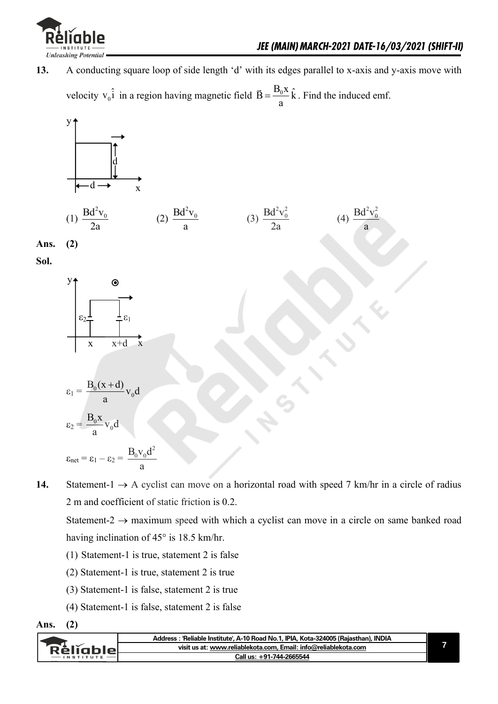

**13.** A conducting square loop of side length 'd' with its edges parallel to x-axis and y-axis move with velocity  $v_0 \hat{i}$  in a region having magnetic field  $\vec{B} = \frac{B_0 x}{n} \hat{k}$ a . Find the induced emf.



**Sol.**



$$
\varepsilon_1 = \frac{B_0(x+d)}{a} v_0 d
$$

$$
\varepsilon_2 = \frac{B_0 x}{a} v_0 d
$$

a

$$
\epsilon_{net} = \epsilon_1 - \epsilon_2 = \frac{B_0 v_0 d^2}{a}
$$

 $\mathbf{0}$ 

14. Statement-1  $\rightarrow$  A cyclist can move on a horizontal road with speed 7 km/hr in a circle of radius 2 m and coefficient of static friction is 0.2.

Statement-2  $\rightarrow$  maximum speed with which a cyclist can move in a circle on same banked road having inclination of 45° is 18.5 km/hr.

- (1) Statement-1 is true, statement 2 is false
- (2) Statement-1 is true, statement 2 is true
- (3) Statement-1 is false, statement 2 is true
- (4) Statement-1 is false, statement 2 is false



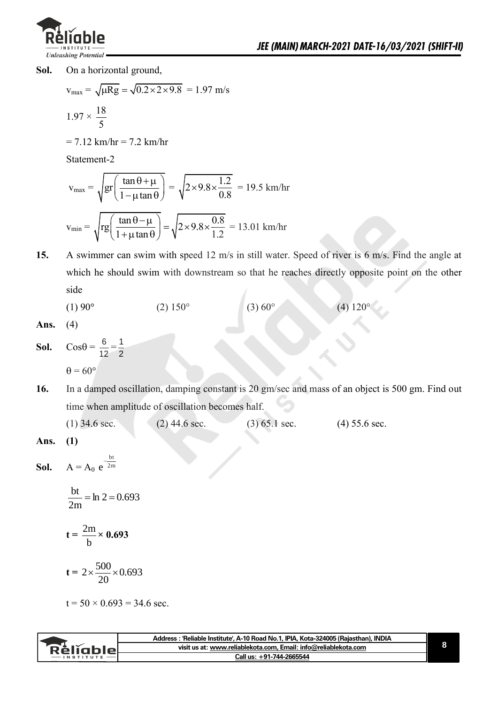

**Sol.** On a horizontal ground,

$$
v_{\text{max}} = \sqrt{\mu Rg} = \sqrt{0.2 \times 2 \times 9.8} = 1.97 \text{ m/s}
$$

$$
1.97 \times \frac{18}{5}
$$

 $= 7.12$  km/hr  $= 7.2$  km/hr

Statement-2

$$
v_{\text{max}} = \sqrt{\text{gr}\left(\frac{\tan \theta + \mu}{1 - \mu \tan \theta}\right)} = \sqrt{2 \times 9.8 \times \frac{1.2}{0.8}} = 19.5 \text{ km/hr}
$$
  
 $v_{\text{min}} = \sqrt{\text{rg}\left(\frac{\tan \theta - \mu}{1 + \mu \tan \theta}\right)} = \sqrt{2 \times 9.8 \times \frac{0.8}{1.2}} = 13.01 \text{ km/hr}$ 

**15.** A swimmer can swim with speed 12 m/s in still water. Speed of river is 6 m/s. Find the angle at which he should swim with downstream so that he reaches directly opposite point on the other side

(1) 90° (2) 150° (3) 60° (4) 120°

```
Ans. (4)
```
- **Sol.**  $\cos\theta = \frac{6}{16}$  $\frac{6}{12} = \frac{1}{2}$ 2  $\theta = 60^{\circ}$
- **16.** In a damped oscillation, damping constant is 20 gm/sec and mass of an object is 500 gm. Find out time when amplitude of oscillation becomes half.

| $(1)$ 34.6 sec. | $(2)$ 44.6 sec. | $(3)$ 65.1 sec. | $(4)$ 55.6 sec. |
|-----------------|-----------------|-----------------|-----------------|
|-----------------|-----------------|-----------------|-----------------|

**Ans. (1)** 

**Sol.**  $A = A_0 e^{2m}$ bt  $e^{-}$ 

> $\ln 2 = 0.693$ 2m  $\frac{bt}{2} = \ln 2 =$

$$
t = \frac{2m}{b} \times 0.693
$$

$$
t = 2 \times \frac{500}{20} \times 0.693
$$

 $t = 50 \times 0.693 = 34.6$  sec.

|               | Address : 'Reliable Institute', A-10 Road No.1, IPIA, Kota-324005 (Rajasthan), INDIA |
|---------------|--------------------------------------------------------------------------------------|
| Rèliablel     | visit us at: www.reliablekota.com, Email: info@reliablekota.com                      |
| $-$ INSTITUTE | Call us: +91-744-2665544                                                             |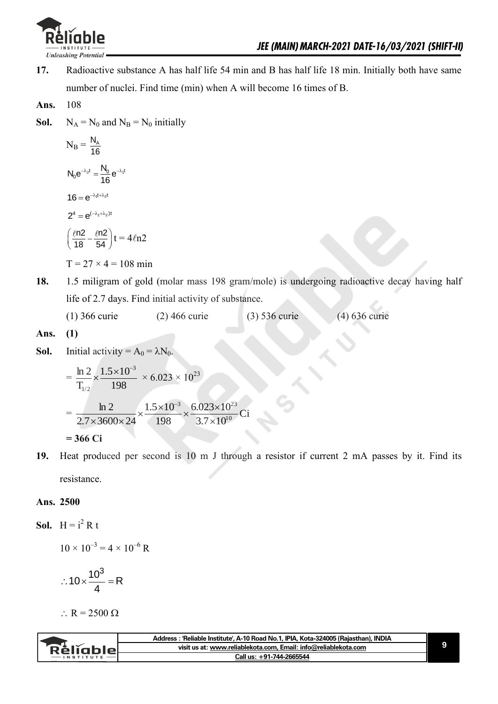

- **17.** Radioactive substance A has half life 54 min and B has half life 18 min. Initially both have same number of nuclei. Find time (min) when A will become 16 times of B.
- **Ans.** 108
- **Sol.**  $N_A = N_0$  and  $N_B = N_0$  initially

$$
N_B = \frac{N_A}{16}
$$
  
\n
$$
N_0 e^{-\lambda_2 t} = \frac{N_0}{16} e^{-\lambda_1 t}
$$
  
\n
$$
16 = e^{-\lambda_1 t + \lambda_2 t}
$$
  
\n
$$
2^4 = e^{(-\lambda_1 + \lambda_2)t}
$$
  
\n
$$
\left(\frac{\ell n2}{18} - \frac{\ell n2}{54}\right)t = 4\ell n2
$$

 $T = 27 \times 4 = 108$  min

**18.** 1.5 miligram of gold (molar mass 198 gram/mole) is undergoing radioactive decay having half life of 2.7 days. Find initial activity of substance. l,

| $(1)$ 366 curie | $(2)$ 466 curie | $(3)$ 536 curie | $(4)$ 636 curie |
|-----------------|-----------------|-----------------|-----------------|
|-----------------|-----------------|-----------------|-----------------|

- **Ans. (1)**
- **Sol.** Initial activity =  $A_0 = \lambda N_0$ .

$$
= \frac{\ln 2}{T_{1/2}} \times \frac{1.5 \times 10^{-3}}{198} \times 6.023 \times 10^{23}
$$
  
= 
$$
\frac{\ln 2}{2.7 \times 3600 \times 24} \times \frac{1.5 \times 10^{-3}}{198} \times \frac{6.023 \times 10^{23}}{3.7 \times 10^{10}} \text{Ci}
$$
  
= 366 Ci

**19.** Heat produced per second is 10 m J through a resistor if current 2 mA passes by it. Find its

resistance.

#### **Ans. 2500**

**Sol.**  $H = i^2 R t$ 

$$
10 \times 10^{-3} = 4 \times 10^{-6} R
$$

$$
\therefore 10 \times \frac{10^3}{4} = R
$$

$$
\therefore R = 2500 \ \Omega
$$

|           | Address: 'Reliable Institute', A-10 Road No.1, IPIA, Kota-324005 (Rajasthan), INDIA |  |
|-----------|-------------------------------------------------------------------------------------|--|
| Relighiel | visit us at: www.reliablekota.com, Email: info@reliablekota.com                     |  |
|           | Call us: +91-744-2665544                                                            |  |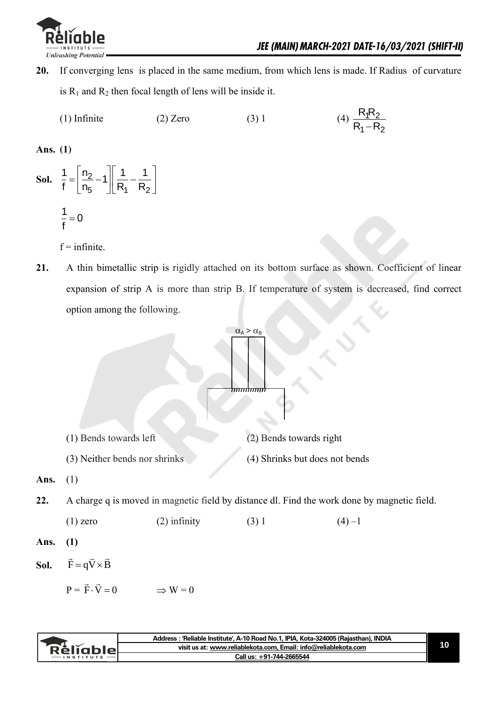

 $1 - \kappa_2$ 

- **20.** If converging lens is placed in the same medium, from which lens is made. If Radius of curvature is  $R_1$  and  $R_2$  then focal length of lens will be inside it.
	- (1) Infinite (2) Zero (3) 1 <u>1N2</u>  $R_1R$  $R_1 - R$

**Ans. (1)**

**Sol.**  $\frac{1}{6} = \frac{112}{2}$  $\mathbf{5}$   $\parallel$  R<sub>1</sub> R<sub>2</sub>  $\frac{1}{f} = \left[\frac{n_2}{n_5} - 1\right] \left[\frac{1}{R_1} - \frac{1}{R_2}\right]$  $\begin{bmatrix} n_2 & 1 & 1 \end{bmatrix}$  $=\left[\frac{n_2}{n_5}-1\right]\left[\frac{1}{R_1}-\frac{1}{R_2}\right]$  $\frac{1}{2} = 0$ f  $=$ 

 $f = infinite$ 

**21.** A thin bimetallic strip is rigidly attached on its bottom surface as shown. Coefficient of linear expansion of strip A is more than strip B. If temperature of system is decreased, find correct option among the following.



| visit us at: www.reliablekota.com. Email: info@reliablekota.com<br>Rèliable<br>Call us: +91-744-2665544<br>$-$ INSTITUTE | Address : 'Reliable Institute', A-10 Road No.1, IPIA, Kota-324005 (Rajasthan), INDIA |  |
|--------------------------------------------------------------------------------------------------------------------------|--------------------------------------------------------------------------------------|--|
|                                                                                                                          |                                                                                      |  |
|                                                                                                                          |                                                                                      |  |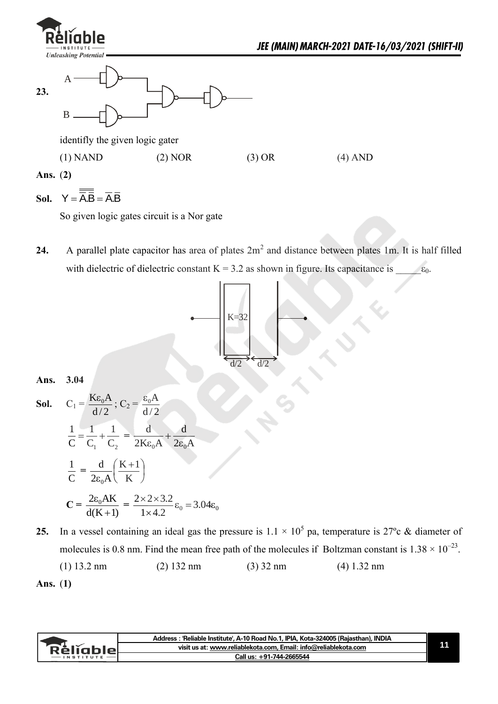|            | · <sup>lĭ</sup> ghle<br>– IN STITUTE<br><b>Unleashing Potential</b> |           |        | JEE (MAIN) MARCH-2021 DATE-16/03/2021 (SHIFT-II) |
|------------|---------------------------------------------------------------------|-----------|--------|--------------------------------------------------|
| 23.        | A<br>B                                                              |           |        |                                                  |
|            | identifly the given logic gater                                     |           |        |                                                  |
|            | $(1)$ NAND                                                          | $(2)$ NOR | (3) OR | $(4)$ AND                                        |
| Ans. $(2)$ |                                                                     |           |        |                                                  |

## Sol.  $Y = A.B = A.B$

So given logic gates circuit is a Nor gate

**24.** A parallel plate capacitor has area of plates  $2m^2$  and distance between plates 1m. It is half filled with dielectric of dielectric constant K = 3.2 as shown in figure. Its capacitance is  $\_\_\_ \epsilon_0$ .



### **Ans. 3.04**

**Sol.** 
$$
C_1 = \frac{K\epsilon_0 A}{d/2}
$$
;  $C_2 = \frac{\epsilon_0 A}{d/2}$   
\n $\frac{1}{C} = \frac{1}{C_1} + \frac{1}{C_2} = \frac{d}{2K\epsilon_0 A} + \frac{d}{2\epsilon_0 A}$   
\n $\frac{1}{C} = \frac{d}{2\epsilon_0 A} (\frac{K+1}{K})$   
\n $C = \frac{2\epsilon_0 AK}{d(K+1)} = \frac{2 \times 2 \times 3.2}{1 \times 4.2} \epsilon_0 = 3.04 \epsilon_0$ 

**25.** In a vessel containing an ideal gas the pressure is  $1.1 \times 10^5$  pa, temperature is 27<sup>o</sup>c & diameter of molecules is 0.8 nm. Find the mean free path of the molecules if Boltzman constant is  $1.38 \times 10^{-23}$ .

(1) 13.2 nm (2) 132 nm (3) 32 nm (4) 1.32 nm

|               | Address : 'Reliable Institute', A-10 Road No.1, IPIA, Kota-324005 (Rajasthan), INDIA |  |
|---------------|--------------------------------------------------------------------------------------|--|
| Rèliable      | visit us at: www.reliablekota.com, Email: info@reliablekota.com                      |  |
| $-$ INSTITUTE | Call us: +91-744-2665544                                                             |  |

**Ans.** (**1)**